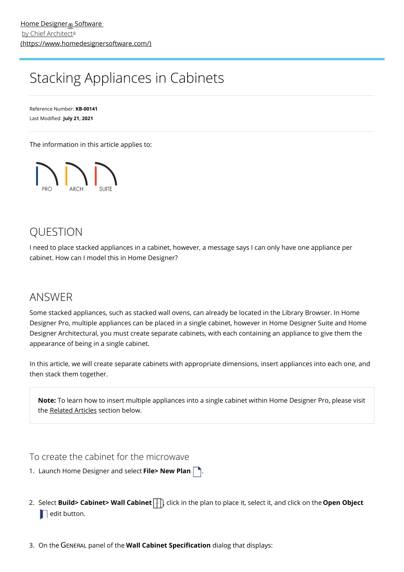# <span id="page-0-0"></span>Stacking Appliances in Cabinets

Reference Number: **KB-00141** Last Modified: **July 21, 2021**

The information in this article applies to:



## **OUESTION**

I need to place stacked appliances in a cabinet, however, a message says I can only have one appliance per cabinet. How can I model this in Home Designer?

### ANSWER

Some stacked appliances, such as stacked wall ovens, can already be located in the Library Browser. In Home Designer Pro, multiple appliances can be placed in a single cabinet, however in Home Designer Suite and Home Designer Architectural, you must create separate cabinets, with each containing an appliance to give them the appearance of being in a single cabinet.

In this article, we will create separate cabinets with appropriate dimensions, insert appliances into each one, and then stack them together.

**Note:** To learn how to insert multiple appliances into a single cabinet within Home Designer Pro, please visit the [Related](#page-0-0) Articles section below.

To create the cabinet for the microwave

1. Launch Home Designer and select **File> New Plan** .

- 2. Select **Build> Cabinet> Wall Cabinet** | click in the plan to place it, select it, and click on the **Open Object**  $\blacksquare$  edit button.
- 3. On the GENERAL panel of the **Wall Cabinet Specification** dialog that displays: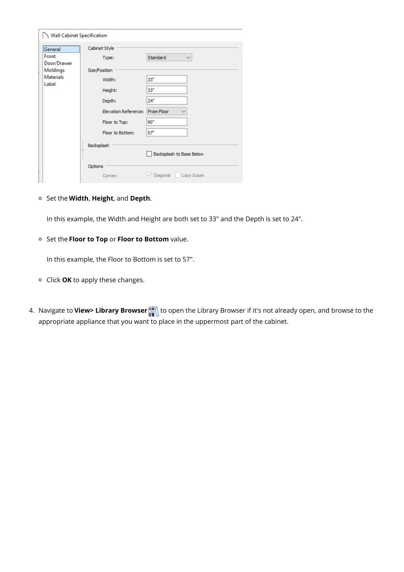| <br>:General              | Cabinet Style        |                            |
|---------------------------|----------------------|----------------------------|
| Front<br>Door/Drawer      | Type:                | Standard<br>$\checkmark$   |
| Moldings                  | Size/Position        |                            |
| <b>Materials</b><br>Label | Width:               | 33"                        |
|                           | Height:              | 33"                        |
|                           | Depth:               | 24"                        |
|                           | Elevation Reference: | From Floor<br>$\checkmark$ |
|                           | Floor to Top:        | 90"                        |
|                           | Floor to Bottom:     | 57"                        |
|                           | Backsplash           |                            |
|                           |                      | Backsplash to Base Below   |
|                           | Options              |                            |
|                           | Corner:              | Diagonal<br>Lazy Susan     |

Set the **Width**, **Height**, and **Depth**.

In this example, the Width and Height are both set to 33" and the Depth is set to 24".

Set the **Floor to Top** or **Floor to Bottom** value.

In this example, the Floor to Bottom is set to 57".

- Click **OK** to apply these changes.
- 4. Navigate to **View> Library Browser the** to open the Library Browser if it's not already open, and browse to the appropriate appliance that you want to place in the uppermost part of the cabinet.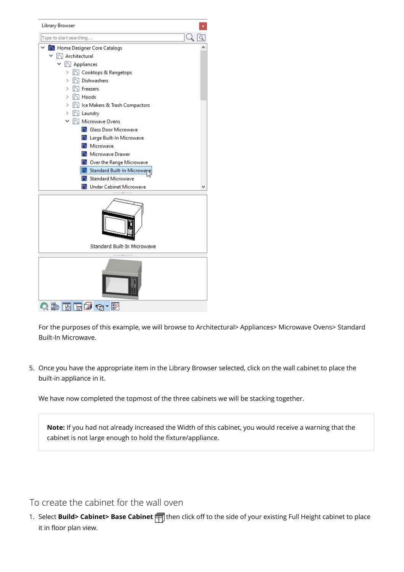

For the purposes of this example, we will browse to Architectural> Appliances> Microwave Ovens> Standard Built-In Microwave.

5. Once you have the appropriate item in the Library Browser selected, click on the wall cabinet to place the built-in appliance in it.

We have now completed the topmost of the three cabinets we will be stacking together.

**Note:** If you had not already increased the Width of this cabinet, you would receive a warning that the cabinet is not large enough to hold the fixture/appliance.

#### To create the cabinet for the wall oven

1. Select **Build> Cabinet> Base Cabinet** <sub>[11]</sub> then click off to the side of your existing Full Height cabinet to place it in floor plan view.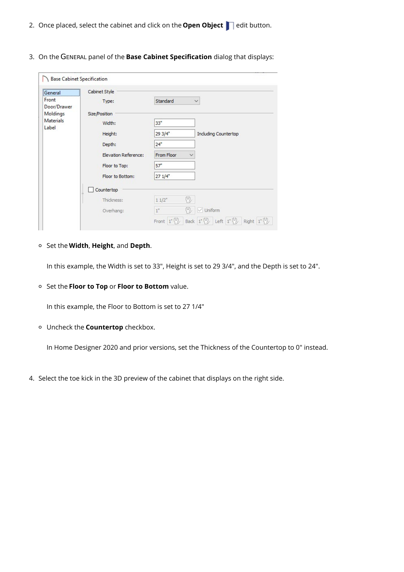- 2. Once placed, select the cabinet and click on the **Open Object edit button.**
- 3. On the GENERAL panel of the **Base Cabinet Specification** dialog that displays:

| <b>Seneral</b>            | Cabinet Style        |                             |                                                                                                                                               |
|---------------------------|----------------------|-----------------------------|-----------------------------------------------------------------------------------------------------------------------------------------------|
| Front                     | Type:                | Standard                    | $\checkmark$                                                                                                                                  |
| Door/Drawer<br>Moldings   | Size/Position        |                             |                                                                                                                                               |
| <b>Materials</b><br>Label |                      |                             |                                                                                                                                               |
|                           | Width:               | 33"                         |                                                                                                                                               |
|                           | Height:              | $293/4$ <sup>*</sup>        | <b>Including Countertop</b>                                                                                                                   |
|                           | Depth:               | 24"                         |                                                                                                                                               |
|                           | Elevation Reference: | From Floor<br>∨             |                                                                                                                                               |
|                           | Floor to Top:        | 57"                         |                                                                                                                                               |
|                           | Floor to Bottom:     | 271/4                       |                                                                                                                                               |
|                           | Countertop           |                             |                                                                                                                                               |
|                           | Thickness:           | (4),<br>$11/2$ <sup>*</sup> |                                                                                                                                               |
|                           | Overhang:            | $1^{\circ}$                 | $\vee$ Uniform                                                                                                                                |
|                           |                      |                             | Front $1^{\circ}$ $\left\{\right\}$ Back $1^{\circ}$ $\left\{\right\}$ Left $1^{\circ}$ $\left\{\right\}$ Right $1^{\circ}$ $\left\{\right\}$ |

Set the **Width**, **Height**, and **Depth**.

In this example, the Width is set to 33", Height is set to 29 3/4", and the Depth is set to 24".

Set the **Floor to Top** or **Floor to Bottom** value.

In this example, the Floor to Bottom is set to 27 1/4"

Uncheck the **Countertop** checkbox.

In Home Designer 2020 and prior versions, set the Thickness of the Countertop to 0" instead.

4. Select the toe kick in the 3D preview of the cabinet that displays on the right side.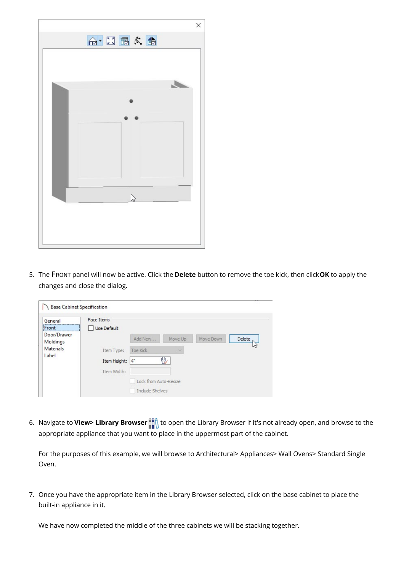

5. The FRONT panel will now be active. Click the **Delete** button to remove the toe kick, then click**OK** to apply the changes and close the dialog.

| General                   | <b>Face Items</b> |                       |         |           |        |
|---------------------------|-------------------|-----------------------|---------|-----------|--------|
| Front<br>                 | Use Default       |                       |         |           |        |
| Door/Drawer<br>Moldings   |                   | Add New               | Move Up | Move Down | Delete |
| <b>Materials</b><br>Label | Item Type:        | Toe Kick              | N       |           |        |
|                           | Item Height:      | $4^{\circ}$           | P,      |           |        |
|                           | Item Width:       |                       |         |           |        |
|                           |                   | Lock from Auto-Resize |         |           |        |
|                           |                   | Include Shelves       |         |           |        |

6. Navigate to **View> Library Browser the diffult** to open the Library Browser if it's not already open, and browse to the appropriate appliance that you want to place in the uppermost part of the cabinet.

For the purposes of this example, we will browse to Architectural> Appliances> Wall Ovens> Standard Single Oven.

7. Once you have the appropriate item in the Library Browser selected, click on the base cabinet to place the built-in appliance in it.

We have now completed the middle of the three cabinets we will be stacking together.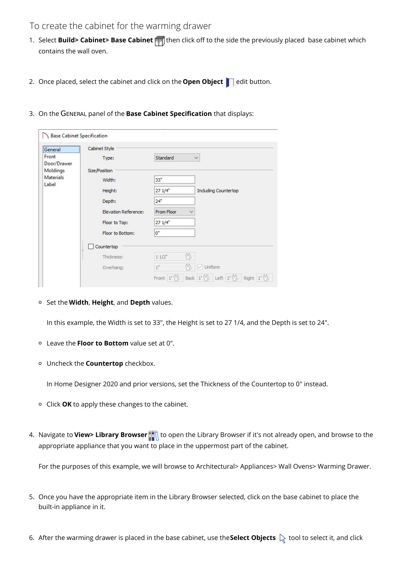#### To create the cabinet for the warming drawer

- 1. Select **Build> Cabinet> Base Cabinet** <sub>[11]</sub> then click off to the side the previously placed base cabinet which contains the wall oven.
- 2. Once placed, select the cabinet and click on the **Open Object** edit button.
- 3. On the GENERAL panel of the **Base Cabinet Specification** that displays:

| General                               | Cabinet Style        |                          |                             |  |  |
|---------------------------------------|----------------------|--------------------------|-----------------------------|--|--|
| Front                                 | Type:                | Standard                 | $\checkmark$                |  |  |
| Door/Drawer                           |                      |                          |                             |  |  |
| Moldings<br><b>Materials</b><br>Label | Size/Position        |                          |                             |  |  |
|                                       | Width:               | 33 <sup>2</sup>          |                             |  |  |
|                                       | Height:              | 271/4                    | <b>Including Countertop</b> |  |  |
|                                       | Depth:               | 24"                      |                             |  |  |
|                                       | Elevation Reference: | From Floor<br>▽          |                             |  |  |
|                                       | Floor to Top:        | $271/4$ <sup>*</sup>     |                             |  |  |
|                                       | Floor to Bottom:     | $0^*$                    |                             |  |  |
|                                       | Countertop           |                          |                             |  |  |
|                                       | Thickness:           | 凹<br>$11/2$ <sup>*</sup> |                             |  |  |
|                                       | Overhang:            | $1^{\circ}$              | $\vee$ Uniform              |  |  |

Set the **Width**, **Height**, and **Depth** values.

In this example, the Width is set to 33", the Height is set to 27 1/4, and the Depth is set to 24".

- Leave the **Floor to Bottom** value set at 0".
- Uncheck the **Countertop** checkbox.

In Home Designer 2020 and prior versions, set the Thickness of the Countertop to 0" instead.

- Click **OK** to apply these changes to the cabinet.
- 4. Navigate to **View> Library Browser of the Collagean open the Library Browser if it's not already open, and browse to the** appropriate appliance that you want to place in the uppermost part of the cabinet.

For the purposes of this example, we will browse to Architectural> Appliances> Wall Ovens> Warming Drawer.

- 5. Once you have the appropriate item in the Library Browser selected, click on the base cabinet to place the built-in appliance in it.
- 6. After the warming drawer is placed in the base cabinet, use the **Select Objects** tool to select it, and click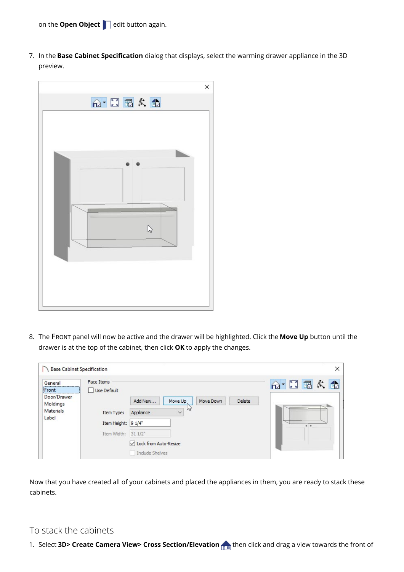on the **Open Object edit button again.** 

7. In the **Base Cabinet Specification** dialog that displays, select the warming drawer appliance in the 3D preview.



8. The FRONT panel will now be active and the drawer will be highlighted. Click the **Move Up** button until the drawer is at the top of the cabinet, then click **OK** to apply the changes.

| <b>Base Cabinet Specification</b>                                            |                                                                                      |                                                                                                                                                   | $\times$                                       |
|------------------------------------------------------------------------------|--------------------------------------------------------------------------------------|---------------------------------------------------------------------------------------------------------------------------------------------------|------------------------------------------------|
| General<br>Front<br><br>Door/Drawer<br>Moldings<br><b>Materials</b><br>Label | <b>Face Items</b><br>Use Default<br>Item Type:<br>Item Height: 9 1/4"<br>Item Width: | Add New<br>Delete<br>Move Down<br>Move Up<br>W<br>Appliance<br>$\checkmark$<br>$311/2$ <sup>*</sup><br>○ Lock from Auto-Resize<br>Include Shelves | $A^*$ $\boxplus$ $B$ $\wedge$ $B$<br>$\bullet$ |

Now that you have created all of your cabinets and placed the appliances in them, you are ready to stack these cabinets.

#### To stack the cabinets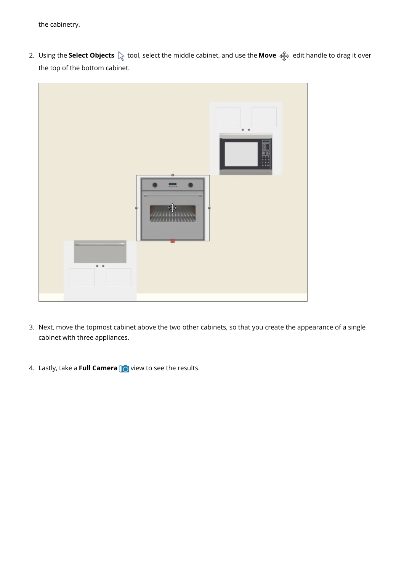the cabinetry.

2. Using the **Select Objects**  $\&$  tool, select the middle cabinet, and use the **Move**  $\phi$  edit handle to drag it over the top of the bottom cabinet.



- 3. Next, move the topmost cabinet above the two other cabinets, so that you create the appearance of a single cabinet with three appliances.
- 4. Lastly, take a **Full Camera** view to see the results.